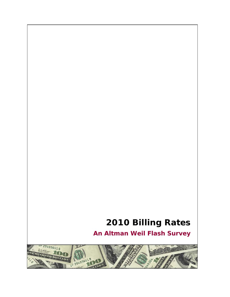# **2010 Billing Rates**

**An Altman Weil Flash Survey** 

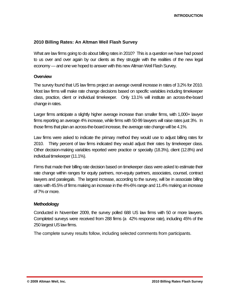# **2010 Billing Rates: An Altman Weil Flash Survey**

What are law firms going to do about billing rates in 2010? This is a question we have had posed to us over and over again by our clients as they struggle with the realities of the new legal economy — and one we hoped to answer with this new Altman Weil Flash Survey.

### **Overview**

The survey found that US law firms project an average overall increase in rates of 3.2% for 2010. Most law firms will make rate change decisions based on specific variables including timekeeper class, practice, client or individual timekeeper. Only 13.1% will institute an across-the-board change in rates.

Larger firms anticipate a slightly higher average increase than smaller firms, with 1,000+ lawyer firms reporting an average 4% increase, while firms with 50-99 lawyers will raise rates just 3%. In those firms that plan an across-the-board increase, the average rate change will be 4.1%.

Law firms were asked to indicate the primary method they would use to adjust billing rates for 2010. Thirty percent of law firms indicated they would adjust their rates by timekeeper class. Other decision-making variables reported were practice or specialty (18.3%), client (12.8%) and individual timekeeper (11.1%).

Firms that made their billing rate decision based on timekeeper class were asked to estimate their rate change within ranges for equity partners, non-equity partners, associates, counsel, contract lawyers and paralegals. The largest increase, according to the survey, will be in associate billing rates with 45.5% of firms making an increase in the 4%-6% range and 11.4% making an increase of 7% or more.

# **Methodology**

Conducted in November 2009, the survey polled 688 US law firms with 50 or more lawyers. Completed surveys were received from 288 firms (a 42% response rate), including 45% of the 250 largest US law firms.

The complete survey results follow, including selected comments from participants.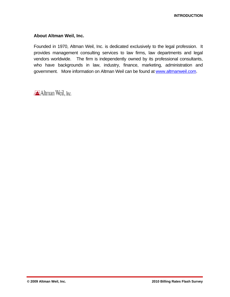# **About Altman Weil, Inc.**

Founded in 1970, Altman Weil, Inc. is dedicated exclusively to the legal profession. It provides management consulting services to law firms, law departments and legal vendors worldwide. The firm is independently owned by its professional consultants, who have backgrounds in law, industry, finance, marketing, administration and government. More information on Altman Weil can be found at www.altmanweil.com.

**Altman Weil**, Inc.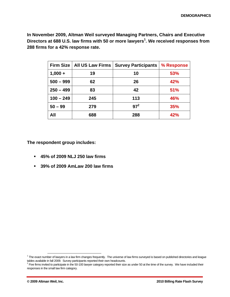**In November 2009, Altman Weil surveyed Managing Partners, Chairs and Executive**  Directors at 688 U.S. law firms with 50 or more lawyers<sup>1</sup>. We received responses from **288 firms for a 42% response rate.** 

|             | Firm Size   All US Law Firms | <b>Survey Participants</b> | % Response |
|-------------|------------------------------|----------------------------|------------|
| $1,000 +$   | 19                           | 10                         | 53%        |
| $500 - 999$ | 62                           | 26                         | 42%        |
| $250 - 499$ | 83                           | 42                         | 51%        |
| $100 - 249$ | 245                          | 113                        | 46%        |
| $50 - 99$   | 279                          | $97^2$                     | 35%        |
| All         | 688                          | 288                        | 42%        |

**The respondent group includes:** 

- **45% of 2009 NLJ 250 law firms**
- **39% of 2009 AmLaw 200 law firms**

<sup>1&</sup>lt;br>The exact number of lawyers in a law firm changes frequently. The universe of law firms surveyed is based on published directories and league tables available in fall 2009. Survey participants reported their own headcounts. 2

 $P$  Five firms invited to participate in the 50-100 lawyer category reported their size as under 50 at the time of the survey. We have included their responses in the small law firm category.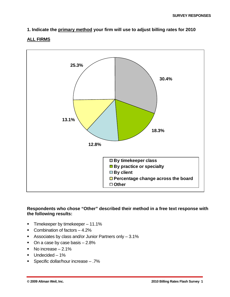# **1. Indicate the primary method your firm will use to adjust billing rates for 2010**

# **ALL FIRMS**



# **Respondents who chose "Other" described their method in a free text response with the following results:**

- **Timekeeper by timekeeper 11.1%**
- Combination of factors 4.2%
- Associates by class and/or Junior Partners only 3.1%
- $\blacksquare$  On a case by case basis  $-2.8\%$
- No increase  $-2.1\%$
- Undecided 1%
- Specific dollar/hour increase .7%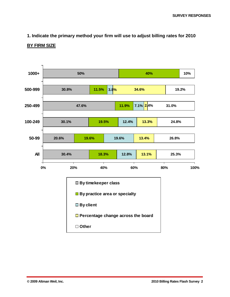# **1. Indicate the primary method your firm will use to adjust billing rates for 2010**

### **BY FIRM SIZE**

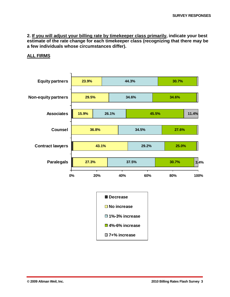### **ALL FIRMS**



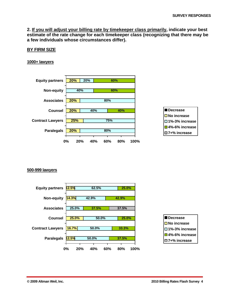### **BY FIRM SIZE**

### **1000+ lawyers**

| <b>Equity partners</b>  | 20%<br>20%          | 60%        |      |                                                |
|-------------------------|---------------------|------------|------|------------------------------------------------|
| Non-equity              | 40%                 | 60%        |      |                                                |
| <b>Associates</b>       | 20%                 | 80%        |      |                                                |
| <b>Counsel</b>          | 20%<br>40%          | 40%        |      | Decrease                                       |
| <b>Contract Lawyers</b> | 25%                 | 75%        |      | $\Box$ No increase<br>$\square$ 1%-3% increase |
| <b>Paralegals</b>       | 20%                 | 80%        |      | <b>□</b> 4%-6% increase<br>□7+% increase       |
|                         | 20%<br>$0\%$<br>40% | 60%<br>80% | 100% |                                                |

#### **500-999 lawyers**



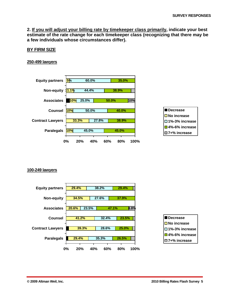### **BY FIRM SIZE**

### **250-499 lawyers**



### **100-249 lawyers**



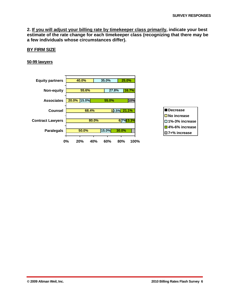### **BY FIRM SIZE**

#### **50-99 lawyers**

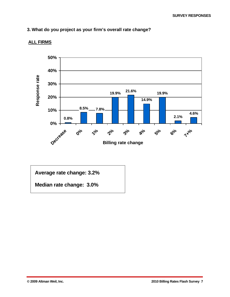# **3. What do you project as your firm's overall rate change?**



# **ALL FIRMS**

**Average rate change: 3.2%** 

**Median rate change: 3.0%**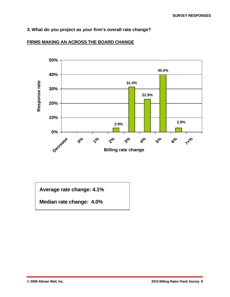# **3. What do you project as your firm's overall rate change?**



# **FIRMS MAKING AN ACROSS THE BOARD CHANGE**

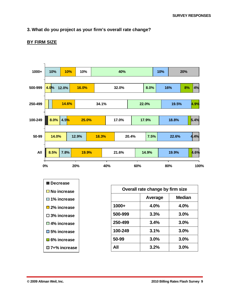# **3. What do you project as your firm's overall rate change?**

# **BY FIRM SIZE**



| $\blacksquare$ Decrease |  |  |  |
|-------------------------|--|--|--|
| $\square$ No increase   |  |  |  |
| $\square$ 1% increase   |  |  |  |
| $\square$ 2% increase   |  |  |  |
| $\square$ 3% increase   |  |  |  |
| □ 4% increase           |  |  |  |
| □5% increase            |  |  |  |
| $\square$ 6% increase   |  |  |  |
| □ 7+% increase          |  |  |  |

| Overall rate change by firm size |         |        |  |  |  |
|----------------------------------|---------|--------|--|--|--|
|                                  | Average | Median |  |  |  |
| $1000+$                          | 4.0%    | 4.0%   |  |  |  |
| 500-999                          | 3.3%    | 3.0%   |  |  |  |
| 250-499                          | 3.4%    | 3.0%   |  |  |  |
| 100-249                          | 3.1%    | 3.0%   |  |  |  |
| 50-99                            | 3.0%    | 3.0%   |  |  |  |
| All                              | 3.2%    | 3.0%   |  |  |  |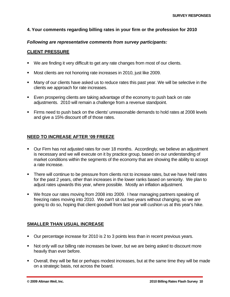# **4. Your comments regarding billing rates in your firm or the profession for 2010**

# *Following are representative comments from survey participants:*

# **CLIENT PRESSURE**

- We are finding it very difficult to get any rate changes from most of our clients.
- Most clients are not honoring rate increases in 2010, just like 2009.
- Many of our clients have asked us to reduce rates this past year. We will be selective in the clients we approach for rate increases.
- Even prospering clients are taking advantage of the economy to push back on rate adjustments. 2010 will remain a challenge from a revenue standpoint.
- Firms need to push back on the clients' unreasonable demands to hold rates at 2008 levels and give a 15% discount off of those rates.

# **NEED TO INCREASE AFTER '09 FREEZE**

- **Dur Firm has not adjusted rates for over 18 months. Accordingly, we believe an adjustment** is necessary and we will execute on it by practice group, based on our understanding of market conditions within the segments of the economy that are showing the ability to accept a rate increase.
- There will continue to be pressure from clients not to increase rates, but we have held rates for the past 2 years, other than increases in the lower ranks based on seniority. We plan to adjust rates upwards this year, where possible. Mostly an inflation adjustment.
- We froze our rates moving from 2008 into 2009. I hear managing partners speaking of freezing rates moving into 2010. We can't sit out two years without changing, so we are going to do so, hoping that client goodwill from last year will cushion us at this year's hike.

# **SMALLER THAN USUAL INCREASE**

- Our percentage increase for 2010 is 2 to 3 points less than in recent previous years.
- Not only will our billing rate increases be lower, but we are being asked to discount more heavily than ever before.
- Overall, they will be flat or perhaps modest increases, but at the same time they will be made on a strategic basis, not across the board.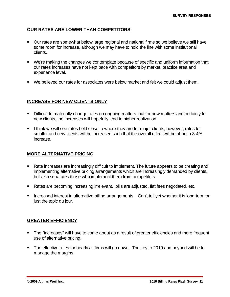### **OUR RATES ARE LOWER THAN COMPETITORS'**

- Our rates are somewhat below large regional and national firms so we believe we still have some room for increase, although we may have to hold the line with some institutional clients.
- We're making the changes we contemplate because of specific and uniform information that our rates increases have not kept pace with competitors by market, practice area and experience level.
- We believed our rates for associates were below market and felt we could adjust them.

### **INCREASE FOR NEW CLIENTS ONLY**

- Difficult to materially change rates on ongoing matters, but for new matters and certainly for new clients, the increases will hopefully lead to higher realization.
- I think we will see rates held close to where they are for major clients; however, rates for smaller and new clients will be increased such that the overall effect will be about a 3-4% increase.

### **MORE ALTERNATIVE PRICING**

- Rate increases are increasingly difficult to implement. The future appears to be creating and implementing alternative pricing arrangements which are increasingly demanded by clients, but also separates those who implement them from competitors.
- Rates are becoming increasing irrelevant, bills are adjusted, flat fees negotiated, etc.
- **Increased interest in alternative billing arrangements. Can't tell yet whether it is long-term or** just the topic du jour.

# **GREATER EFFICIENCY**

- The "increases" will have to come about as a result of greater efficiencies and more frequent use of alternative pricing.
- The effective rates for nearly all firms will go down. The key to 2010 and beyond will be to manage the margins.